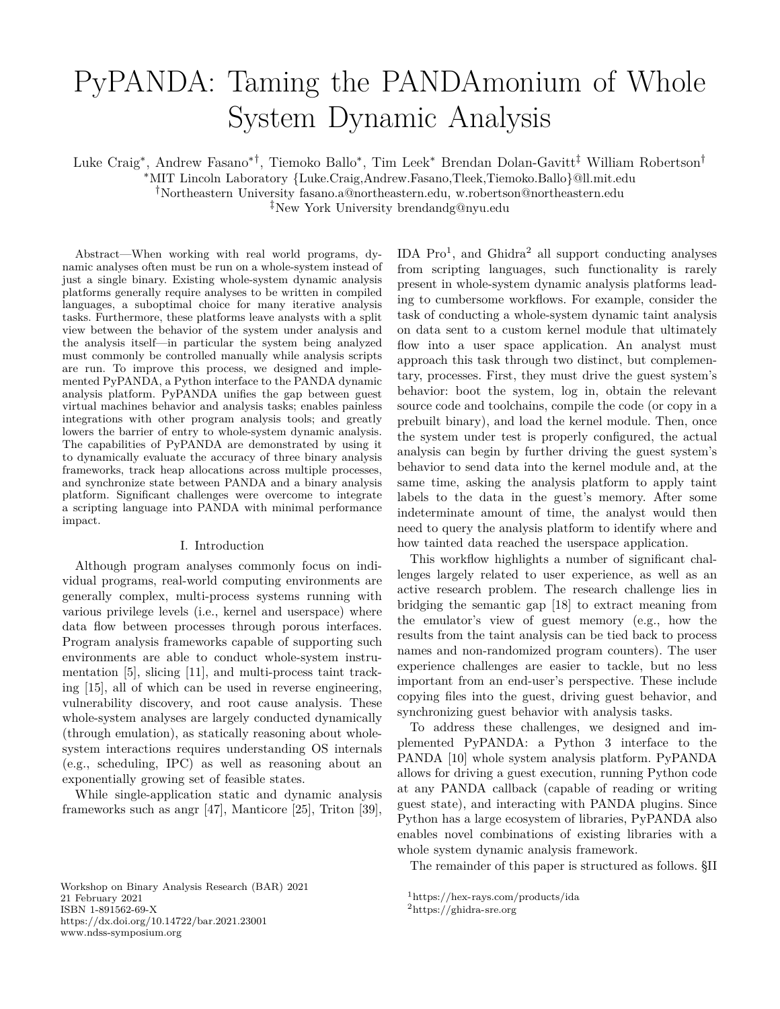# PyPANDA: Taming the PANDAmonium of Whole System Dynamic Analysis

Luke Craig*∗* , Andrew Fasano*∗†*, Tiemoko Ballo*∗* , Tim Leek*∗* Brendan Dolan-Gavitt*‡* William Robertson*†*

*∗*MIT Lincoln Laboratory {Luke.Craig,Andrew.Fasano,Tleek,Tiemoko.Ballo}@ll.mit.edu

*†*Northeastern University fasano.a@northeastern.edu, w.robertson@northeastern.edu

*‡*New York University brendandg@nyu.edu

Abstract—When working with real world programs, dynamic analyses often must be run on a whole-system instead of just a single binary. Existing whole-system dynamic analysis platforms generally require analyses to be written in compiled languages, a suboptimal choice for many iterative analysis tasks. Furthermore, these platforms leave analysts with a split view between the behavior of the system under analysis and the analysis itself—in particular the system being analyzed must commonly be controlled manually while analysis scripts are run. To improve this process, we designed and implemented PyPANDA, a Python interface to the PANDA dynamic analysis platform. PyPANDA unifies the gap between guest virtual machines behavior and analysis tasks; enables painless integrations with other program analysis tools; and greatly lowers the barrier of entry to whole-system dynamic analysis. The capabilities of PyPANDA are demonstrated by using it to dynamically evaluate the accuracy of three binary analysis frameworks, track heap allocations across multiple processes, and synchronize state between PANDA and a binary analysis platform. Significant challenges were overcome to integrate a scripting language into PANDA with minimal performance impact.

## I. Introduction

Although program analyses commonly focus on individual programs, real-world computing environments are generally complex, multi-process systems running with various privilege levels (i.e., kernel and userspace) where data flow between processes through porous interfaces. Program analysis frameworks capable of supporting such environments are able to conduct whole-system instrumentation [5], slicing [11], and multi-process taint tracking [15], all of which can be used in reverse engineering, vulnerability discovery, and root cause analysis. These whole-system analyses are largely conducted dynamically (through emulation), as statically reasoning about wholesystem interactions requires understanding OS internals (e.g., scheduling, IPC) as well as reasoning about an exponentially growing set of feasible states.

While single-application static and dynamic analysis frameworks such as angr [47], Manticore [25], Triton [39],

Workshop on Binary Analysis Research (BAR) 2021 21 February 2021 ISBN 1-891562-69-X https://dx.doi.org/10.14722/bar.2021.23001 www.ndss-symposium.org

IDA Pro<sup>1</sup>, and Ghidra<sup>2</sup> all support conducting analyses from scripting languages, such functionality is rarely present in whole-system dynamic analysis platforms leading to cumbersome workflows. For example, consider the task of conducting a whole-system dynamic taint analysis on data sent to a custom kernel module that ultimately flow into a user space application. An analyst must approach this task through two distinct, but complementary, processes. First, they must drive the guest system's behavior: boot the system, log in, obtain the relevant source code and toolchains, compile the code (or copy in a prebuilt binary), and load the kernel module. Then, once the system under test is properly configured, the actual analysis can begin by further driving the guest system's behavior to send data into the kernel module and, at the same time, asking the analysis platform to apply taint labels to the data in the guest's memory. After some indeterminate amount of time, the analyst would then need to query the analysis platform to identify where and how tainted data reached the userspace application.

This workflow highlights a number of significant challenges largely related to user experience, as well as an active research problem. The research challenge lies in bridging the semantic gap [18] to extract meaning from the emulator's view of guest memory (e.g., how the results from the taint analysis can be tied back to process names and non-randomized program counters). The user experience challenges are easier to tackle, but no less important from an end-user's perspective. These include copying files into the guest, driving guest behavior, and synchronizing guest behavior with analysis tasks.

To address these challenges, we designed and implemented PyPANDA: a Python 3 interface to the PANDA [10] whole system analysis platform. PyPANDA allows for driving a guest execution, running Python code at any PANDA callback (capable of reading or writing guest state), and interacting with PANDA plugins. Since Python has a large ecosystem of libraries, PyPANDA also enables novel combinations of existing libraries with a whole system dynamic analysis framework.

The remainder of this paper is structured as follows. §II

<sup>1</sup>https://hex-rays.com/products/ida

<sup>2</sup>https://ghidra-sre.org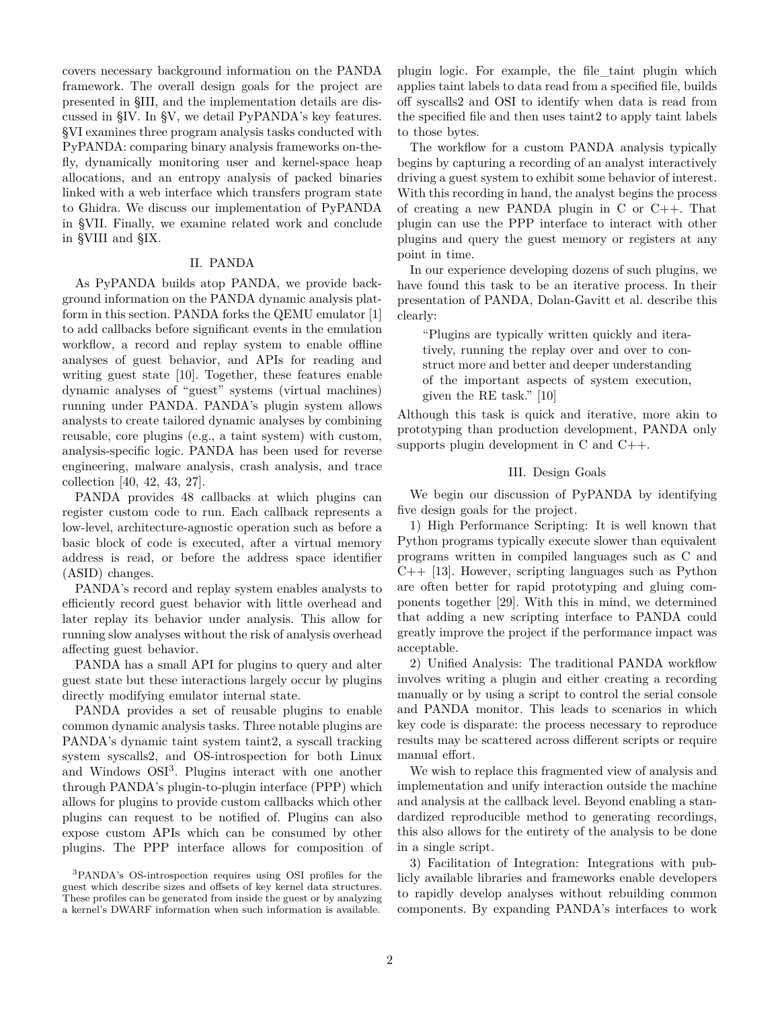covers necessary background information on the PANDA framework. The overall design goals for the project are presented in §III, and the implementation details are discussed in §IV. In §V, we detail PyPANDA's key features. §VI examines three program analysis tasks conducted with PyPANDA: comparing binary analysis frameworks on-thefly, dynamically monitoring user and kernel-space heap allocations, and an entropy analysis of packed binaries linked with a web interface which transfers program state to Ghidra. We discuss our implementation of PyPANDA in §VII. Finally, we examine related work and conclude in §VIII and §IX.

#### II. PANDA

As PyPANDA builds atop PANDA, we provide background information on the PANDA dynamic analysis platform in this section. PANDA forks the QEMU emulator [1] to add callbacks before significant events in the emulation workflow, a record and replay system to enable offline analyses of guest behavior, and APIs for reading and writing guest state [10]. Together, these features enable dynamic analyses of "guest" systems (virtual machines) running under PANDA. PANDA's plugin system allows analysts to create tailored dynamic analyses by combining reusable, core plugins (e.g., a taint system) with custom, analysis-specific logic. PANDA has been used for reverse engineering, malware analysis, crash analysis, and trace collection [40, 42, 43, 27].

PANDA provides 48 callbacks at which plugins can register custom code to run. Each callback represents a low-level, architecture-agnostic operation such as before a basic block of code is executed, after a virtual memory address is read, or before the address space identifier (ASID) changes.

PANDA's record and replay system enables analysts to efficiently record guest behavior with little overhead and later replay its behavior under analysis. This allow for running slow analyses without the risk of analysis overhead affecting guest behavior.

PANDA has a small API for plugins to query and alter guest state but these interactions largely occur by plugins directly modifying emulator internal state.

PANDA provides a set of reusable plugins to enable common dynamic analysis tasks. Three notable plugins are PANDA's dynamic taint system taint2, a syscall tracking system syscalls2, and OS-introspection for both Linux and Windows OSI<sup>3</sup> . Plugins interact with one another through PANDA's plugin-to-plugin interface (PPP) which allows for plugins to provide custom callbacks which other plugins can request to be notified of. Plugins can also expose custom APIs which can be consumed by other plugins. The PPP interface allows for composition of plugin logic. For example, the file\_taint plugin which applies taint labels to data read from a specified file, builds off syscalls2 and OSI to identify when data is read from the specified file and then uses taint2 to apply taint labels to those bytes.

The workflow for a custom PANDA analysis typically begins by capturing a recording of an analyst interactively driving a guest system to exhibit some behavior of interest. With this recording in hand, the analyst begins the process of creating a new PANDA plugin in  $C$  or  $C++$ . That plugin can use the PPP interface to interact with other plugins and query the guest memory or registers at any point in time.

In our experience developing dozens of such plugins, we have found this task to be an iterative process. In their presentation of PANDA, Dolan-Gavitt et al. describe this clearly:

"Plugins are typically written quickly and iteratively, running the replay over and over to construct more and better and deeper understanding of the important aspects of system execution, given the RE task." [10]

Although this task is quick and iterative, more akin to prototyping than production development, PANDA only supports plugin development in C and C++.

## III. Design Goals

We begin our discussion of PyPANDA by identifying five design goals for the project.

1) High Performance Scripting: It is well known that Python programs typically execute slower than equivalent programs written in compiled languages such as C and  $C_{++}$  [13]. However, scripting languages such as Python are often better for rapid prototyping and gluing components together [29]. With this in mind, we determined that adding a new scripting interface to PANDA could greatly improve the project if the performance impact was acceptable.

2) Unified Analysis: The traditional PANDA workflow involves writing a plugin and either creating a recording manually or by using a script to control the serial console and PANDA monitor. This leads to scenarios in which key code is disparate: the process necessary to reproduce results may be scattered across different scripts or require manual effort.

We wish to replace this fragmented view of analysis and implementation and unify interaction outside the machine and analysis at the callback level. Beyond enabling a standardized reproducible method to generating recordings, this also allows for the entirety of the analysis to be done in a single script.

3) Facilitation of Integration: Integrations with publicly available libraries and frameworks enable developers to rapidly develop analyses without rebuilding common components. By expanding PANDA's interfaces to work

<sup>3</sup>PANDA's OS-introspection requires using OSI profiles for the guest which describe sizes and offsets of key kernel data structures. These profiles can be generated from inside the guest or by analyzing a kernel's DWARF information when such information is available.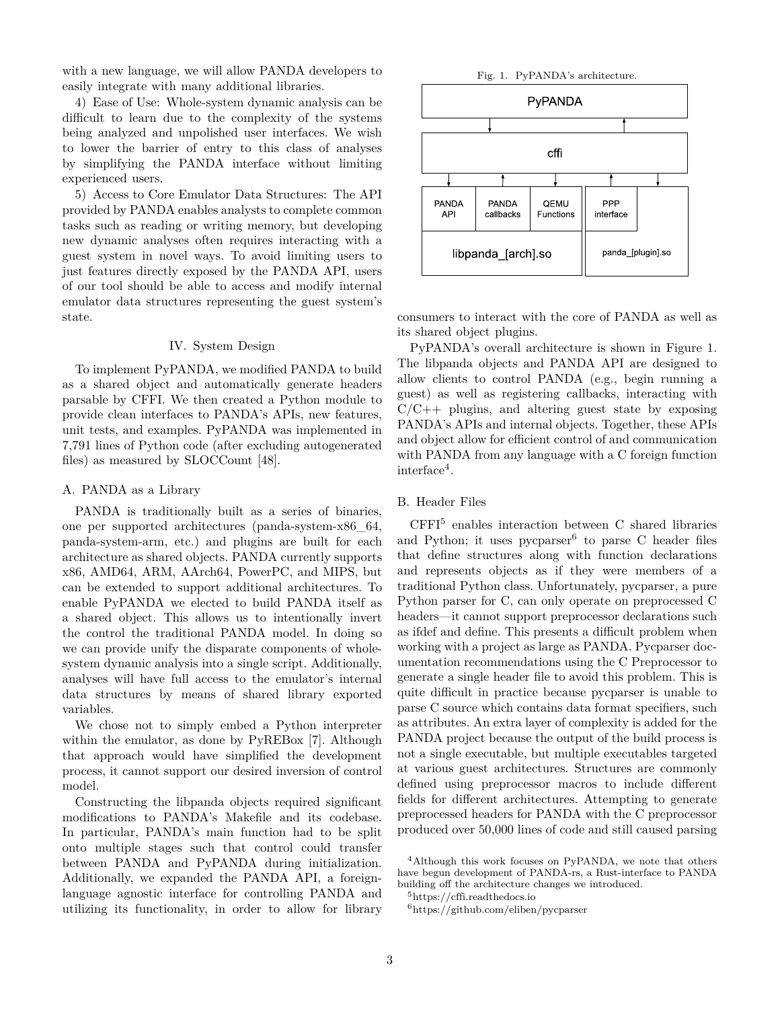with a new language, we will allow PANDA developers to easily integrate with many additional libraries.

4) Ease of Use: Whole-system dynamic analysis can be difficult to learn due to the complexity of the systems being analyzed and unpolished user interfaces. We wish to lower the barrier of entry to this class of analyses by simplifying the PANDA interface without limiting experienced users.

5) Access to Core Emulator Data Structures: The API provided by PANDA enables analysts to complete common tasks such as reading or writing memory, but developing new dynamic analyses often requires interacting with a guest system in novel ways. To avoid limiting users to just features directly exposed by the PANDA API, users of our tool should be able to access and modify internal emulator data structures representing the guest system's state.

## IV. System Design

To implement PyPANDA, we modified PANDA to build as a shared object and automatically generate headers parsable by CFFI. We then created a Python module to provide clean interfaces to PANDA's APIs, new features, unit tests, and examples. PyPANDA was implemented in 7,791 lines of Python code (after excluding autogenerated files) as measured by SLOCCount [48].

#### A. PANDA as a Library

PANDA is traditionally built as a series of binaries, one per supported architectures (panda-system-x86\_64, panda-system-arm, etc.) and plugins are built for each architecture as shared objects. PANDA currently supports x86, AMD64, ARM, AArch64, PowerPC, and MIPS, but can be extended to support additional architectures. To enable PyPANDA we elected to build PANDA itself as a shared object. This allows us to intentionally invert the control the traditional PANDA model. In doing so we can provide unify the disparate components of wholesystem dynamic analysis into a single script. Additionally, analyses will have full access to the emulator's internal data structures by means of shared library exported variables.

We chose not to simply embed a Python interpreter within the emulator, as done by PyREBox [7]. Although that approach would have simplified the development process, it cannot support our desired inversion of control model.

Constructing the libpanda objects required significant modifications to PANDA's Makefile and its codebase. In particular, PANDA's main function had to be split onto multiple stages such that control could transfer between PANDA and PyPANDA during initialization. Additionally, we expanded the PANDA API, a foreignlanguage agnostic interface for controlling PANDA and utilizing its functionality, in order to allow for library



consumers to interact with the core of PANDA as well as its shared object plugins.

PyPANDA's overall architecture is shown in Figure 1. The libpanda objects and PANDA API are designed to allow clients to control PANDA (e.g., begin running a guest) as well as registering callbacks, interacting with  $C/C++$  plugins, and altering guest state by exposing PANDA's APIs and internal objects. Together, these APIs and object allow for efficient control of and communication with PANDA from any language with a C foreign function interface<sup>4</sup> .

#### B. Header Files

CFFI<sup>5</sup> enables interaction between C shared libraries and Python; it uses pycparser<sup>6</sup> to parse C header files that define structures along with function declarations and represents objects as if they were members of a traditional Python class. Unfortunately, pycparser, a pure Python parser for C, can only operate on preprocessed C headers—it cannot support preprocessor declarations such as ifdef and define. This presents a difficult problem when working with a project as large as PANDA. Pycparser documentation recommendations using the C Preprocessor to generate a single header file to avoid this problem. This is quite difficult in practice because pycparser is unable to parse C source which contains data format specifiers, such as attributes. An extra layer of complexity is added for the PANDA project because the output of the build process is not a single executable, but multiple executables targeted at various guest architectures. Structures are commonly defined using preprocessor macros to include different fields for different architectures. Attempting to generate preprocessed headers for PANDA with the C preprocessor produced over 50,000 lines of code and still caused parsing

<sup>4</sup>Although this work focuses on PyPANDA, we note that others have begun development of PANDA-rs, a Rust-interface to PANDA building off the architecture changes we introduced.

<sup>5</sup>https://cffi.readthedocs.io

<sup>6</sup>https://github.com/eliben/pycparser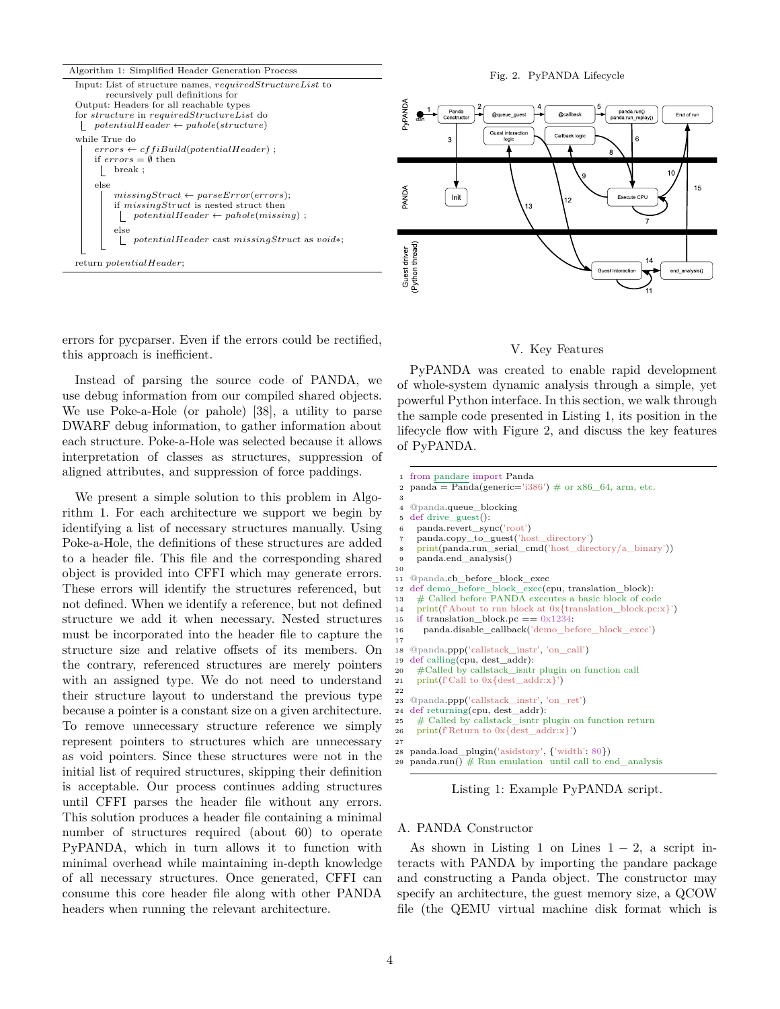

V. Key Features

End of run

 $15$ 

end\_analysis()

 $10$ 

PyPANDA was created to enable rapid development of whole-system dynamic analysis through a simple, yet powerful Python interface. In this section, we walk through the sample code presented in Listing 1, its position in the lifecycle flow with Figure 2, and discuss the key features of PyPANDA.

1 from pandare import Panda 2 panda = Panda(generic='i386')  $\#$  or x86\_64, arm, etc. 3 4 @panda.queue\_blocking<br>5 def drive guest(): def drive\_guest(): 6 panda.revert\_sync('root') 7 panda.copy\_to\_guest('host\_directory') 8 print(panda.run\_serial\_cmd('host\_directory/a\_binary'))<br>9 panda.end analysis() panda.end\_analysis() 10 11 @panda.cb\_before\_block\_exec 12 def demo\_before\_block\_exec(cpu, translation\_block): 13 # Called before PANDA executes a basic block of code 14 print(f'About to run block at 0x{translation\_block.pc:x}') 15 if translation block.pc  $= = 0x1234$ : 16 panda.disable\_callback('demo\_before\_block\_exec') 17 18 @panda.ppp('callstack\_instr', 'on\_call') 19 def calling(cpu, dest\_addr):  $20 \quad \text{\#Called by callback}$  isntr plugin on function call 21 print(f'Call to 0x{dest\_addr:x}') 22 23 @panda.ppp('callstack\_instr', 'on\_ret') 24 def returning(cpu, dest\_addr): 25 # Called by callstack\_isntr plugin on function return 26 print(f'Return to 0x{dest\_addr:x}') 27 28 panda.load\_plugin('asidstory', {'width': 80}) 29 panda.run()  $#$  Run emulation until call to end analysis

Listing 1: Example PyPANDA script.

## A. PANDA Constructor

As shown in Listing 1 on Lines  $1 - 2$ , a script interacts with PANDA by importing the pandare package and constructing a Panda object. The constructor may specify an architecture, the guest memory size, a QCOW file (the QEMU virtual machine disk format which is

errors for pycparser. Even if the errors could be rectified, this approach is inefficient.

Instead of parsing the source code of PANDA, we use debug information from our compiled shared objects. We use Poke-a-Hole (or pahole) [38], a utility to parse DWARF debug information, to gather information about each structure. Poke-a-Hole was selected because it allows interpretation of classes as structures, suppression of aligned attributes, and suppression of force paddings.

We present a simple solution to this problem in Algorithm 1. For each architecture we support we begin by identifying a list of necessary structures manually. Using Poke-a-Hole, the definitions of these structures are added to a header file. This file and the corresponding shared object is provided into CFFI which may generate errors. These errors will identify the structures referenced, but not defined. When we identify a reference, but not defined structure we add it when necessary. Nested structures must be incorporated into the header file to capture the structure size and relative offsets of its members. On the contrary, referenced structures are merely pointers with an assigned type. We do not need to understand their structure layout to understand the previous type because a pointer is a constant size on a given architecture. To remove unnecessary structure reference we simply represent pointers to structures which are unnecessary as void pointers. Since these structures were not in the initial list of required structures, skipping their definition is acceptable. Our process continues adding structures until CFFI parses the header file without any errors. This solution produces a header file containing a minimal number of structures required (about 60) to operate PyPANDA, which in turn allows it to function with minimal overhead while maintaining in-depth knowledge of all necessary structures. Once generated, CFFI can consume this core header file along with other PANDA headers when running the relevant architecture.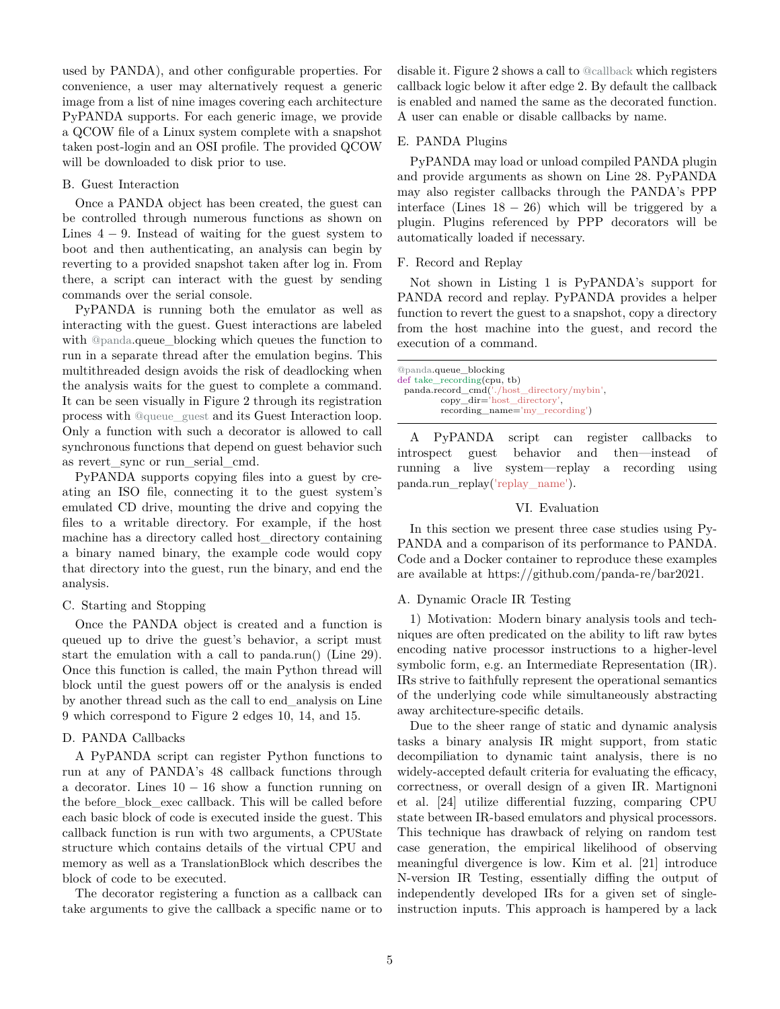used by PANDA), and other configurable properties. For convenience, a user may alternatively request a generic image from a list of nine images covering each architecture PyPANDA supports. For each generic image, we provide a QCOW file of a Linux system complete with a snapshot taken post-login and an OSI profile. The provided QCOW will be downloaded to disk prior to use.

## B. Guest Interaction

Once a PANDA object has been created, the guest can be controlled through numerous functions as shown on Lines 4 *−* 9. Instead of waiting for the guest system to boot and then authenticating, an analysis can begin by reverting to a provided snapshot taken after log in. From there, a script can interact with the guest by sending commands over the serial console.

PyPANDA is running both the emulator as well as interacting with the guest. Guest interactions are labeled with @panda.queue blocking which queues the function to run in a separate thread after the emulation begins. This multithreaded design avoids the risk of deadlocking when the analysis waits for the guest to complete a command. It can be seen visually in Figure 2 through its registration process with @queue\_guest and its Guest Interaction loop. Only a function with such a decorator is allowed to call synchronous functions that depend on guest behavior such as revert sync or run serial cmd.

PyPANDA supports copying files into a guest by creating an ISO file, connecting it to the guest system's emulated CD drive, mounting the drive and copying the files to a writable directory. For example, if the host machine has a directory called host\_directory containing a binary named binary, the example code would copy that directory into the guest, run the binary, and end the analysis.

## C. Starting and Stopping

Once the PANDA object is created and a function is queued up to drive the guest's behavior, a script must start the emulation with a call to panda.run() (Line 29). Once this function is called, the main Python thread will block until the guest powers off or the analysis is ended by another thread such as the call to end\_analysis on Line 9 which correspond to Figure 2 edges 10, 14, and 15.

# D. PANDA Callbacks

A PyPANDA script can register Python functions to run at any of PANDA's 48 callback functions through a decorator. Lines 10 *−* 16 show a function running on the before\_block\_exec callback. This will be called before each basic block of code is executed inside the guest. This callback function is run with two arguments, a CPUState structure which contains details of the virtual CPU and memory as well as a TranslationBlock which describes the block of code to be executed.

The decorator registering a function as a callback can take arguments to give the callback a specific name or to disable it. Figure 2 shows a call to @callback which registers callback logic below it after edge 2. By default the callback is enabled and named the same as the decorated function. A user can enable or disable callbacks by name.

## E. PANDA Plugins

PyPANDA may load or unload compiled PANDA plugin and provide arguments as shown on Line 28. PyPANDA may also register callbacks through the PANDA's PPP interface (Lines 18 *−* 26) which will be triggered by a plugin. Plugins referenced by PPP decorators will be automatically loaded if necessary.

# F. Record and Replay

Not shown in Listing 1 is PyPANDA's support for PANDA record and replay. PyPANDA provides a helper function to revert the guest to a snapshot, copy a directory from the host machine into the guest, and record the execution of a command.

@panda.queue\_blocking def take\_recording(cpu, tb) panda.record\_cmd('./host\_directory/mybin', copy\_dir='host\_directory', recording\_name='my\_recording')

A PyPANDA script can register callbacks to introspect guest behavior and then—instead of running a live system—replay a recording using panda.run\_replay('replay\_name').

## VI. Evaluation

In this section we present three case studies using Py-PANDA and a comparison of its performance to PANDA. Code and a Docker container to reproduce these examples are available at https://github.com/panda-re/bar2021.

# A. Dynamic Oracle IR Testing

1) Motivation: Modern binary analysis tools and techniques are often predicated on the ability to lift raw bytes encoding native processor instructions to a higher-level symbolic form, e.g. an Intermediate Representation (IR). IRs strive to faithfully represent the operational semantics of the underlying code while simultaneously abstracting away architecture-specific details.

Due to the sheer range of static and dynamic analysis tasks a binary analysis IR might support, from static decompiliation to dynamic taint analysis, there is no widely-accepted default criteria for evaluating the efficacy, correctness, or overall design of a given IR. Martignoni et al. [24] utilize differential fuzzing, comparing CPU state between IR-based emulators and physical processors. This technique has drawback of relying on random test case generation, the empirical likelihood of observing meaningful divergence is low. Kim et al. [21] introduce N-version IR Testing, essentially diffing the output of independently developed IRs for a given set of singleinstruction inputs. This approach is hampered by a lack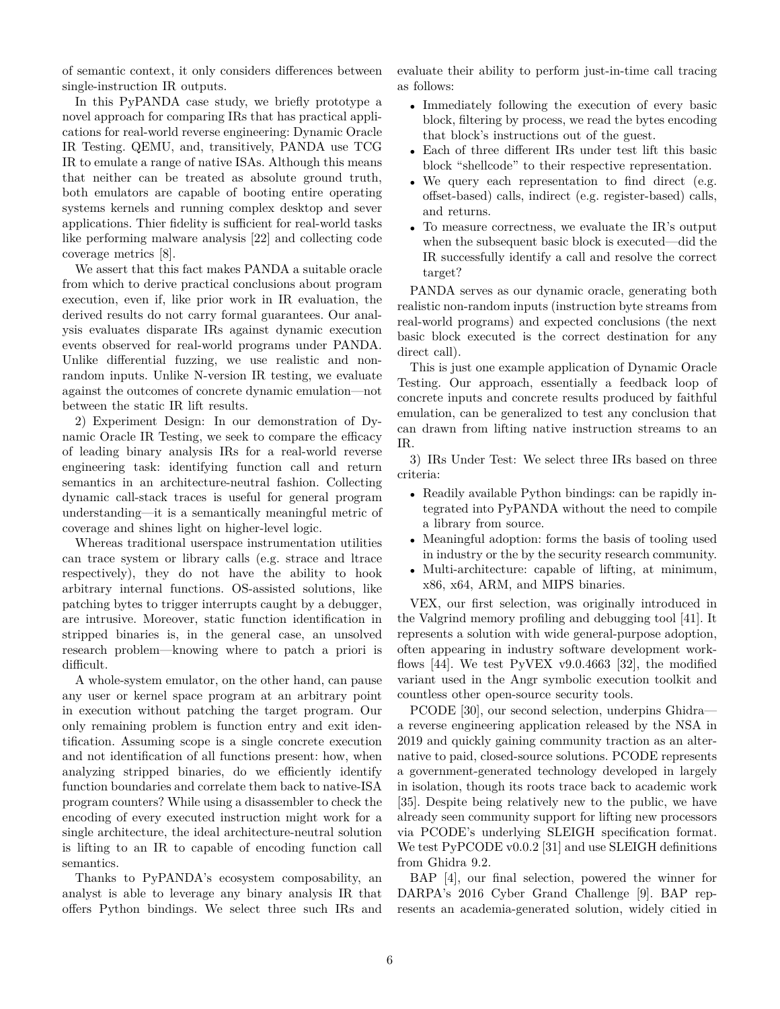of semantic context, it only considers differences between single-instruction IR outputs.

In this PyPANDA case study, we briefly prototype a novel approach for comparing IRs that has practical applications for real-world reverse engineering: Dynamic Oracle IR Testing. QEMU, and, transitively, PANDA use TCG IR to emulate a range of native ISAs. Although this means that neither can be treated as absolute ground truth, both emulators are capable of booting entire operating systems kernels and running complex desktop and sever applications. Thier fidelity is sufficient for real-world tasks like performing malware analysis [22] and collecting code coverage metrics [8].

We assert that this fact makes PANDA a suitable oracle from which to derive practical conclusions about program execution, even if, like prior work in IR evaluation, the derived results do not carry formal guarantees. Our analysis evaluates disparate IRs against dynamic execution events observed for real-world programs under PANDA. Unlike differential fuzzing, we use realistic and nonrandom inputs. Unlike N-version IR testing, we evaluate against the outcomes of concrete dynamic emulation—not between the static IR lift results.

2) Experiment Design: In our demonstration of Dynamic Oracle IR Testing, we seek to compare the efficacy of leading binary analysis IRs for a real-world reverse engineering task: identifying function call and return semantics in an architecture-neutral fashion. Collecting dynamic call-stack traces is useful for general program understanding—it is a semantically meaningful metric of coverage and shines light on higher-level logic.

Whereas traditional userspace instrumentation utilities can trace system or library calls (e.g. strace and ltrace respectively), they do not have the ability to hook arbitrary internal functions. OS-assisted solutions, like patching bytes to trigger interrupts caught by a debugger, are intrusive. Moreover, static function identification in stripped binaries is, in the general case, an unsolved research problem—knowing where to patch a priori is difficult.

A whole-system emulator, on the other hand, can pause any user or kernel space program at an arbitrary point in execution without patching the target program. Our only remaining problem is function entry and exit identification. Assuming scope is a single concrete execution and not identification of all functions present: how, when analyzing stripped binaries, do we efficiently identify function boundaries and correlate them back to native-ISA program counters? While using a disassembler to check the encoding of every executed instruction might work for a single architecture, the ideal architecture-neutral solution is lifting to an IR to capable of encoding function call semantics.

Thanks to PyPANDA's ecosystem composability, an analyst is able to leverage any binary analysis IR that offers Python bindings. We select three such IRs and evaluate their ability to perform just-in-time call tracing as follows:

- Immediately following the execution of every basic block, filtering by process, we read the bytes encoding that block's instructions out of the guest.
- *•* Each of three different IRs under test lift this basic block "shellcode" to their respective representation.
- We query each representation to find direct (e.g. offset-based) calls, indirect (e.g. register-based) calls, and returns.
- To measure correctness, we evaluate the IR's output when the subsequent basic block is executed—did the IR successfully identify a call and resolve the correct target?

PANDA serves as our dynamic oracle, generating both realistic non-random inputs (instruction byte streams from real-world programs) and expected conclusions (the next basic block executed is the correct destination for any direct call).

This is just one example application of Dynamic Oracle Testing. Our approach, essentially a feedback loop of concrete inputs and concrete results produced by faithful emulation, can be generalized to test any conclusion that can drawn from lifting native instruction streams to an IR.

3) IRs Under Test: We select three IRs based on three criteria:

- Readily available Python bindings: can be rapidly integrated into PyPANDA without the need to compile a library from source.
- *•* Meaningful adoption: forms the basis of tooling used in industry or the by the security research community.
- Multi-architecture: capable of lifting, at minimum, x86, x64, ARM, and MIPS binaries.

VEX, our first selection, was originally introduced in the Valgrind memory profiling and debugging tool [41]. It represents a solution with wide general-purpose adoption, often appearing in industry software development workflows  $[44]$ . We test PyVEX v9.0.4663  $[32]$ , the modified variant used in the Angr symbolic execution toolkit and countless other open-source security tools.

PCODE [30], our second selection, underpins Ghidra a reverse engineering application released by the NSA in 2019 and quickly gaining community traction as an alternative to paid, closed-source solutions. PCODE represents a government-generated technology developed in largely in isolation, though its roots trace back to academic work [35]. Despite being relatively new to the public, we have already seen community support for lifting new processors via PCODE's underlying SLEIGH specification format. We test PyPCODE v0.0.2 [31] and use SLEIGH definitions from Ghidra 9.2.

BAP [4], our final selection, powered the winner for DARPA's 2016 Cyber Grand Challenge [9]. BAP represents an academia-generated solution, widely citied in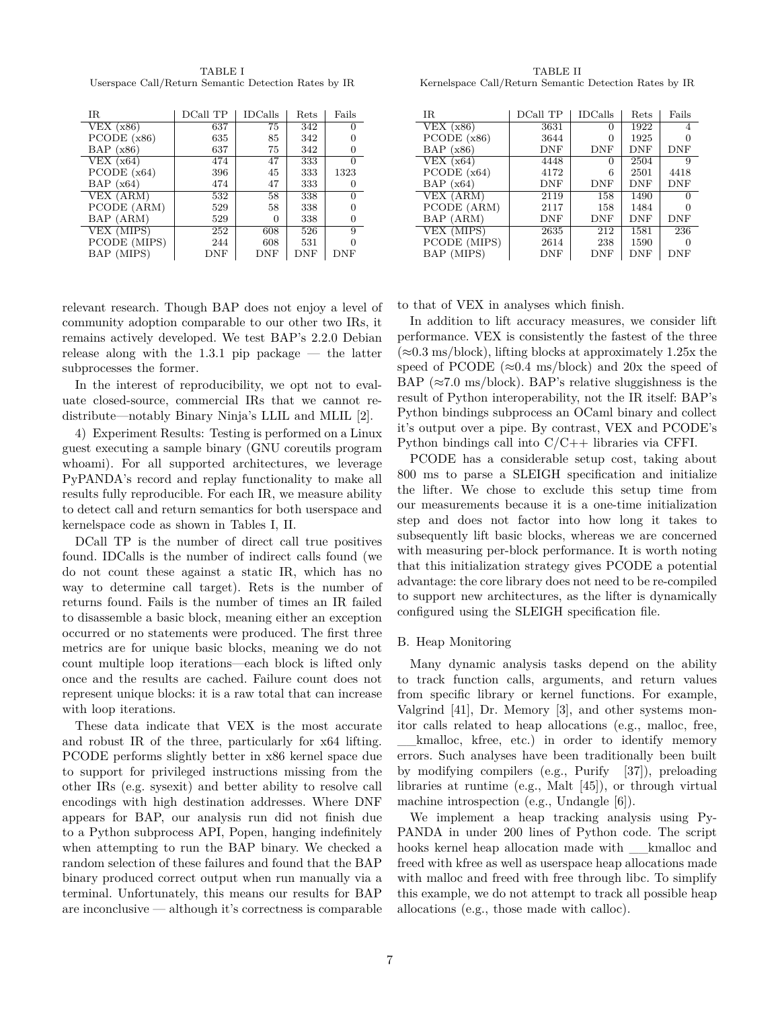TABLE I Userspace Call/Return Semantic Detection Rates by IR

| IR.           | DCall TP   | <b>IDCalls</b> | Rets | Fails |
|---------------|------------|----------------|------|-------|
| VEX (x86)     | 637        | 75             | 342  |       |
| PCODE (x86)   | 635        | 85             | 342  |       |
| BAP $(x86)$   | 637        | 75             | 342  | 0     |
| VEX (x64)     | 474        | 47             | 333  | O     |
| PCODE $(x64)$ | 396        | 45             | 333  | 1323  |
| BAP $(x64)$   | 474        | 47             | 333  | 0     |
| VEX (ARM)     | 532        | 58             | 338  | 0     |
| PCODE (ARM)   | 529        | 58             | 338  |       |
| BAP (ARM)     | 529        | $\mathbf{0}$   | 338  | 0     |
| VEX (MIPS)    | 252        | 608            | 526  | 9     |
| PCODE (MIPS)  | 244        | 608            | 531  |       |
| BAP (MIPS)    | <b>DNF</b> | DNF            | DNF  | DNF   |

relevant research. Though BAP does not enjoy a level of community adoption comparable to our other two IRs, it remains actively developed. We test BAP's 2.2.0 Debian release along with the 1.3.1 pip package  $-$  the latter subprocesses the former.

In the interest of reproducibility, we opt not to evaluate closed-source, commercial IRs that we cannot redistribute—notably Binary Ninja's LLIL and MLIL [2].

4) Experiment Results: Testing is performed on a Linux guest executing a sample binary (GNU coreutils program whoami). For all supported architectures, we leverage PyPANDA's record and replay functionality to make all results fully reproducible. For each IR, we measure ability to detect call and return semantics for both userspace and kernelspace code as shown in Tables I, II.

DCall TP is the number of direct call true positives found. IDCalls is the number of indirect calls found (we do not count these against a static IR, which has no way to determine call target). Rets is the number of returns found. Fails is the number of times an IR failed to disassemble a basic block, meaning either an exception occurred or no statements were produced. The first three metrics are for unique basic blocks, meaning we do not count multiple loop iterations—each block is lifted only once and the results are cached. Failure count does not represent unique blocks: it is a raw total that can increase with loop iterations.

These data indicate that VEX is the most accurate and robust IR of the three, particularly for x64 lifting. PCODE performs slightly better in x86 kernel space due to support for privileged instructions missing from the other IRs (e.g. sysexit) and better ability to resolve call encodings with high destination addresses. Where DNF appears for BAP, our analysis run did not finish due to a Python subprocess API, Popen, hanging indefinitely when attempting to run the BAP binary. We checked a random selection of these failures and found that the BAP binary produced correct output when run manually via a terminal. Unfortunately, this means our results for BAP are inconclusive — although it's correctness is comparable

TABLE II Kernelspace Call/Return Semantic Detection Rates by IR

| IR.          | DCall TP | <b>IDCalls</b> | Rets | Fails |
|--------------|----------|----------------|------|-------|
| VEX (x86)    | 3631     | $^{(1)}$       | 1922 | 4     |
| PCODE (x86)  | 3644     | 0              | 1925 | 0     |
| BAP $(x86)$  | DNF      | DNF            | DNF  | DNF   |
| VEX (x64)    | 4448     | 0              | 2504 | 9     |
| PCODE (x64)  | 4172     | 6              | 2501 | 4418  |
| BAP $(x64)$  | DNF      | DNF            | DNF  | DNF   |
| VEX (ARM)    | 2119     | 158            | 1490 | O     |
| PCODE (ARM)  | 2117     | 158            | 1484 | 0     |
| BAP (ARM)    | DNF      | DNF            | DNF  | DNF   |
| VEX (MIPS)   | 2635     | 212            | 1581 | 236   |
| PCODE (MIPS) | 2614     | 238            | 1590 |       |
| BAP (MIPS)   | DNF      | DNF            | DNF  | DNF   |

to that of VEX in analyses which finish.

In addition to lift accuracy measures, we consider lift performance. VEX is consistently the fastest of the three (*≈*0.3 ms/block), lifting blocks at approximately 1.25x the speed of PCODE (*≈*0.4 ms/block) and 20x the speed of BAP (*≈*7.0 ms/block). BAP's relative sluggishness is the result of Python interoperability, not the IR itself: BAP's Python bindings subprocess an OCaml binary and collect it's output over a pipe. By contrast, VEX and PCODE's Python bindings call into  $C/C++$  libraries via CFFI.

PCODE has a considerable setup cost, taking about 800 ms to parse a SLEIGH specification and initialize the lifter. We chose to exclude this setup time from our measurements because it is a one-time initialization step and does not factor into how long it takes to subsequently lift basic blocks, whereas we are concerned with measuring per-block performance. It is worth noting that this initialization strategy gives PCODE a potential advantage: the core library does not need to be re-compiled to support new architectures, as the lifter is dynamically configured using the SLEIGH specification file.

## B. Heap Monitoring

Many dynamic analysis tasks depend on the ability to track function calls, arguments, and return values from specific library or kernel functions. For example, Valgrind [41], Dr. Memory [3], and other systems monitor calls related to heap allocations (e.g., malloc, free, \_\_kmalloc, kfree, etc.) in order to identify memory errors. Such analyses have been traditionally been built by modifying compilers (e.g., Purify [37]), preloading libraries at runtime (e.g., Malt [45]), or through virtual machine introspection (e.g., Undangle [6]).

We implement a heap tracking analysis using Py-PANDA in under 200 lines of Python code. The script hooks kernel heap allocation made with \_\_kmalloc and freed with kfree as well as userspace heap allocations made with malloc and freed with free through libc. To simplify this example, we do not attempt to track all possible heap allocations (e.g., those made with calloc).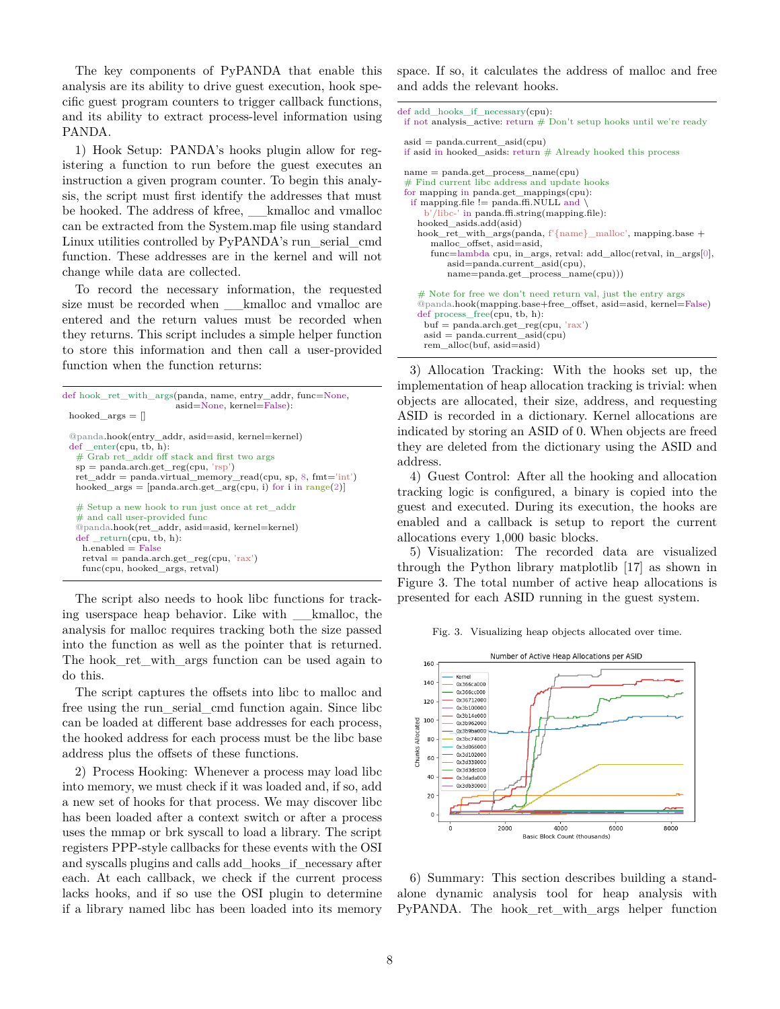The key components of PyPANDA that enable this analysis are its ability to drive guest execution, hook specific guest program counters to trigger callback functions, and its ability to extract process-level information using PANDA.

1) Hook Setup: PANDA's hooks plugin allow for registering a function to run before the guest executes an instruction a given program counter. To begin this analysis, the script must first identify the addresses that must be hooked. The address of kfree, \_\_kmalloc and vmalloc can be extracted from the System.map file using standard Linux utilities controlled by PyPANDA's run\_serial\_cmd function. These addresses are in the kernel and will not change while data are collected.

To record the necessary information, the requested size must be recorded when kmalloc and vmalloc are entered and the return values must be recorded when they returns. This script includes a simple helper function to store this information and then call a user-provided function when the function returns:

```
def hook_ret_with_args(panda, name, entry_addr, func=None,
                       asid=None, kernel=False):
hooked_args = []
@panda.hook(entry_addr, asid=asid, kernel=kernel)
def\_enter(cpu, tb, h):
 # Grab ret_addr off stack and first two args
 sp = panda.arch.get_reg(cpu, 'rsp')
 ret_addr = panda.virtual_memory_read(cpu, sp, 8, fmt='int')
 hooked_args = [panda.arch.get_arg(cpu, i) for i in range(2)]
 # Setup a new hook to run just once at ret_addr
 # and call user-provided func
 @panda.hook(ret_addr, asid=asid, kernel=kernel)
 def _return(cpu, tb, h):
   h.enabled = False
   retval = panda.archivepi, 'rax')func(cpu, hooked_args, retval)
```
The script also needs to hook libc functions for tracking userspace heap behavior. Like with \_\_kmalloc, the analysis for malloc requires tracking both the size passed into the function as well as the pointer that is returned. The hook ret with args function can be used again to do this.

The script captures the offsets into libc to malloc and free using the run\_serial\_cmd function again. Since libc can be loaded at different base addresses for each process, the hooked address for each process must be the libc base address plus the offsets of these functions.

2) Process Hooking: Whenever a process may load libc into memory, we must check if it was loaded and, if so, add a new set of hooks for that process. We may discover libc has been loaded after a context switch or after a process uses the mmap or brk syscall to load a library. The script registers PPP-style callbacks for these events with the OSI and syscalls plugins and calls add\_hooks\_if\_necessary after each. At each callback, we check if the current process lacks hooks, and if so use the OSI plugin to determine if a library named libc has been loaded into its memory space. If so, it calculates the address of malloc and free and adds the relevant hooks.

| $def add$ hooks if necessary $(cpu)$ :                                                       |
|----------------------------------------------------------------------------------------------|
| if not analysis_active: return $#$ Don't setup hooks until we're ready                       |
| $asid =$ panda.current $asid(cpu)$                                                           |
| if asid in hooked asids: return $#$ Already hooked this process                              |
| $name = pandas.get$ process $name(cpu)$                                                      |
| $#$ Find current libc address and update hooks                                               |
| for mapping in panda.get mappings(cpu):                                                      |
| if mapping.file $!=$ panda.ffi.NULL and $\setminus$                                          |
| $b'/libc$ -' in panda.ffi.string(mapping.file):                                              |
| hooked asids.add(asid)                                                                       |
| hook_ret_with_args(panda, $f'$ {name}_malloc', mapping.base $+$<br>malloc offset, asid=asid, |
| func=lambda cpu, in_args, retval: $add\_alloc(retval, in\_args 0),$                          |
| $asid =$ panda.current_asid $(cpu)$ ,                                                        |
| $name = panda.get$ process $name(cpu))$                                                      |
| $#$ Note for free we don't need return val, just the entry args                              |
| @panda.hook(mapping.base+free_offset, asid=asid, kernel=False)                               |
| $def$ process $free(cpu, tb, h)$ :                                                           |
| $\text{buf} = \text{panda.archive}$ reg(cpu, 'rax')                                          |
| $asid =$ panda.current $asid(cpu)$                                                           |
| rem_alloc(buf, asid=asid)                                                                    |

3) Allocation Tracking: With the hooks set up, the implementation of heap allocation tracking is trivial: when objects are allocated, their size, address, and requesting ASID is recorded in a dictionary. Kernel allocations are indicated by storing an ASID of 0. When objects are freed they are deleted from the dictionary using the ASID and address.

4) Guest Control: After all the hooking and allocation tracking logic is configured, a binary is copied into the guest and executed. During its execution, the hooks are enabled and a callback is setup to report the current allocations every 1,000 basic blocks.

5) Visualization: The recorded data are visualized through the Python library matplotlib [17] as shown in Figure 3. The total number of active heap allocations is presented for each ASID running in the guest system.

Fig. 3. Visualizing heap objects allocated over time.



6) Summary: This section describes building a standalone dynamic analysis tool for heap analysis with PyPANDA. The hook\_ret\_with\_args helper function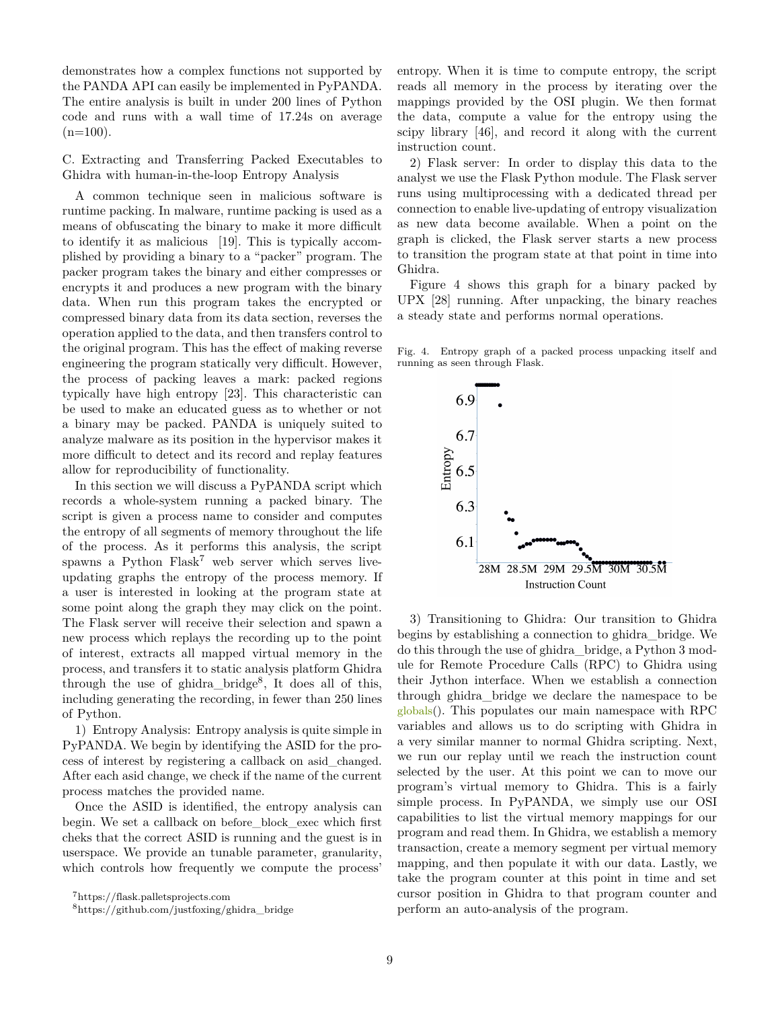demonstrates how a complex functions not supported by the PANDA API can easily be implemented in PyPANDA. The entire analysis is built in under 200 lines of Python code and runs with a wall time of 17.24s on average  $(n=100)$ .

C. Extracting and Transferring Packed Executables to Ghidra with human-in-the-loop Entropy Analysis

A common technique seen in malicious software is runtime packing. In malware, runtime packing is used as a means of obfuscating the binary to make it more difficult to identify it as malicious [19]. This is typically accomplished by providing a binary to a "packer" program. The packer program takes the binary and either compresses or encrypts it and produces a new program with the binary data. When run this program takes the encrypted or compressed binary data from its data section, reverses the operation applied to the data, and then transfers control to the original program. This has the effect of making reverse engineering the program statically very difficult. However, the process of packing leaves a mark: packed regions typically have high entropy [23]. This characteristic can be used to make an educated guess as to whether or not a binary may be packed. PANDA is uniquely suited to analyze malware as its position in the hypervisor makes it more difficult to detect and its record and replay features allow for reproducibility of functionality.

In this section we will discuss a PyPANDA script which records a whole-system running a packed binary. The script is given a process name to consider and computes the entropy of all segments of memory throughout the life of the process. As it performs this analysis, the script spawns a Python  $Flask^7$  web server which serves liveupdating graphs the entropy of the process memory. If a user is interested in looking at the program state at some point along the graph they may click on the point. The Flask server will receive their selection and spawn a new process which replays the recording up to the point of interest, extracts all mapped virtual memory in the process, and transfers it to static analysis platform Ghidra through the use of ghidra\_bridge<sup>8</sup>, It does all of this, including generating the recording, in fewer than 250 lines of Python.

1) Entropy Analysis: Entropy analysis is quite simple in PyPANDA. We begin by identifying the ASID for the process of interest by registering a callback on asid\_changed. After each asid change, we check if the name of the current process matches the provided name.

Once the ASID is identified, the entropy analysis can begin. We set a callback on before\_block\_exec which first cheks that the correct ASID is running and the guest is in userspace. We provide an tunable parameter, granularity, which controls how frequently we compute the process'

entropy. When it is time to compute entropy, the script reads all memory in the process by iterating over the mappings provided by the OSI plugin. We then format the data, compute a value for the entropy using the scipy library [46], and record it along with the current instruction count.

2) Flask server: In order to display this data to the analyst we use the Flask Python module. The Flask server runs using multiprocessing with a dedicated thread per connection to enable live-updating of entropy visualization as new data become available. When a point on the graph is clicked, the Flask server starts a new process to transition the program state at that point in time into Ghidra.

Figure 4 shows this graph for a binary packed by UPX [28] running. After unpacking, the binary reaches a steady state and performs normal operations.

Fig. 4. Entropy graph of a packed process unpacking itself and running as seen through Flask.



3) Transitioning to Ghidra: Our transition to Ghidra begins by establishing a connection to ghidra\_bridge. We do this through the use of ghidra\_bridge, a Python 3 module for Remote Procedure Calls (RPC) to Ghidra using their Jython interface. When we establish a connection through ghidra\_bridge we declare the namespace to be globals(). This populates our main namespace with RPC variables and allows us to do scripting with Ghidra in a very similar manner to normal Ghidra scripting. Next, we run our replay until we reach the instruction count selected by the user. At this point we can to move our program's virtual memory to Ghidra. This is a fairly simple process. In PyPANDA, we simply use our OSI capabilities to list the virtual memory mappings for our program and read them. In Ghidra, we establish a memory transaction, create a memory segment per virtual memory mapping, and then populate it with our data. Lastly, we take the program counter at this point in time and set cursor position in Ghidra to that program counter and perform an auto-analysis of the program.

<sup>7</sup>https://flask.palletsprojects.com

<sup>8</sup>https://github.com/justfoxing/ghidra\_bridge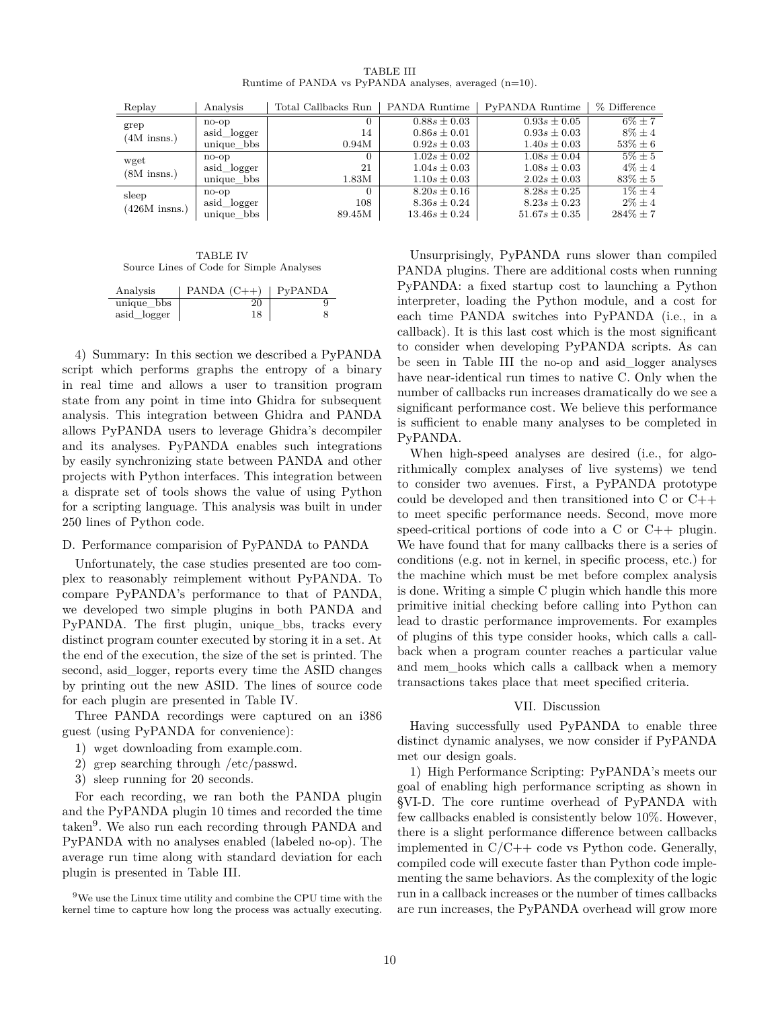TABLE III Runtime of PANDA vs PyPANDA analyses, averaged (n=10).

| Replay                | Analysis    | Total Callbacks Run | PANDA Runtime     | <b>PyPANDA</b> Runtime | % Difference  |
|-----------------------|-------------|---------------------|-------------------|------------------------|---------------|
| grep                  | $no$ - $op$ |                     | $0.88s \pm 0.03$  | $0.93s \pm 0.05$       | $6\% + 7$     |
| $(4M$ insns.)         | asid logger | 14                  | $0.86s \pm 0.01$  | $0.93s \pm 0.03$       | $8\% \pm 4$   |
|                       | unique bbs  | 0.94M               | $0.92s \pm 0.03$  | $1.40s \pm 0.03$       | $53\% \pm 6$  |
| wget                  | $no$ - $op$ | $\Omega$            | $1.02s \pm 0.02$  | $1.08s \pm 0.04$       | $5\% + 5$     |
| $(8M \text{ insns.})$ | asid logger | 21                  | $1.04s \pm 0.03$  | $1.08s \pm 0.03$       | $4\% + 4$     |
|                       | unique bbs  | 1.83M               | $1.10s \pm 0.03$  | $2.02s \pm 0.03$       | $83\% \pm 5$  |
| sleep                 | $no$ -op    | $\Omega$            | $8.20s \pm 0.16$  | $8.28s \pm 0.25$       | $1\% + 4$     |
|                       | asid logger | 108                 | $8.36s \pm 0.24$  | $8.23s \pm 0.23$       | $2\% \pm 4$   |
| $(426M$ insns.)       | unique bbs  | 89.45M              | $13.46s \pm 0.24$ | $51.67s \pm 0.35$      | $284\% \pm 7$ |

TABLE IV Source Lines of Code for Simple Analyses

| Analysis    | PANDA $(C++)$ PyPANDA |  |
|-------------|-----------------------|--|
| unique bbs  | 20                    |  |
| asid_logger | 18                    |  |

4) Summary: In this section we described a PyPANDA script which performs graphs the entropy of a binary in real time and allows a user to transition program state from any point in time into Ghidra for subsequent analysis. This integration between Ghidra and PANDA allows PyPANDA users to leverage Ghidra's decompiler and its analyses. PyPANDA enables such integrations by easily synchronizing state between PANDA and other projects with Python interfaces. This integration between a disprate set of tools shows the value of using Python for a scripting language. This analysis was built in under 250 lines of Python code.

## D. Performance comparision of PyPANDA to PANDA

Unfortunately, the case studies presented are too complex to reasonably reimplement without PyPANDA. To compare PyPANDA's performance to that of PANDA, we developed two simple plugins in both PANDA and PyPANDA. The first plugin, unique\_bbs, tracks every distinct program counter executed by storing it in a set. At the end of the execution, the size of the set is printed. The second, asid\_logger, reports every time the ASID changes by printing out the new ASID. The lines of source code for each plugin are presented in Table IV.

Three PANDA recordings were captured on an i386 guest (using PyPANDA for convenience):

- 1) wget downloading from example.com.
- 2) grep searching through /etc/passwd.
- 3) sleep running for 20 seconds.

For each recording, we ran both the PANDA plugin and the PyPANDA plugin 10 times and recorded the time taken<sup>9</sup>. We also run each recording through PANDA and PyPANDA with no analyses enabled (labeled no-op). The average run time along with standard deviation for each plugin is presented in Table III.

<sup>9</sup>We use the Linux time utility and combine the CPU time with the kernel time to capture how long the process was actually executing.

Unsurprisingly, PyPANDA runs slower than compiled PANDA plugins. There are additional costs when running PyPANDA: a fixed startup cost to launching a Python interpreter, loading the Python module, and a cost for each time PANDA switches into PyPANDA (i.e., in a callback). It is this last cost which is the most significant to consider when developing PyPANDA scripts. As can be seen in Table III the no-op and asid\_logger analyses have near-identical run times to native C. Only when the number of callbacks run increases dramatically do we see a significant performance cost. We believe this performance is sufficient to enable many analyses to be completed in PyPANDA.

When high-speed analyses are desired (i.e., for algorithmically complex analyses of live systems) we tend to consider two avenues. First, a PyPANDA prototype could be developed and then transitioned into C or C++ to meet specific performance needs. Second, move more speed-critical portions of code into a C or C++ plugin. We have found that for many callbacks there is a series of conditions (e.g. not in kernel, in specific process, etc.) for the machine which must be met before complex analysis is done. Writing a simple C plugin which handle this more primitive initial checking before calling into Python can lead to drastic performance improvements. For examples of plugins of this type consider hooks, which calls a callback when a program counter reaches a particular value and mem\_hooks which calls a callback when a memory transactions takes place that meet specified criteria.

## VII. Discussion

Having successfully used PyPANDA to enable three distinct dynamic analyses, we now consider if PyPANDA met our design goals.

1) High Performance Scripting: PyPANDA's meets our goal of enabling high performance scripting as shown in §VI-D. The core runtime overhead of PyPANDA with few callbacks enabled is consistently below 10%. However, there is a slight performance difference between callbacks implemented in  $C/C++$  code vs Python code. Generally, compiled code will execute faster than Python code implementing the same behaviors. As the complexity of the logic run in a callback increases or the number of times callbacks are run increases, the PyPANDA overhead will grow more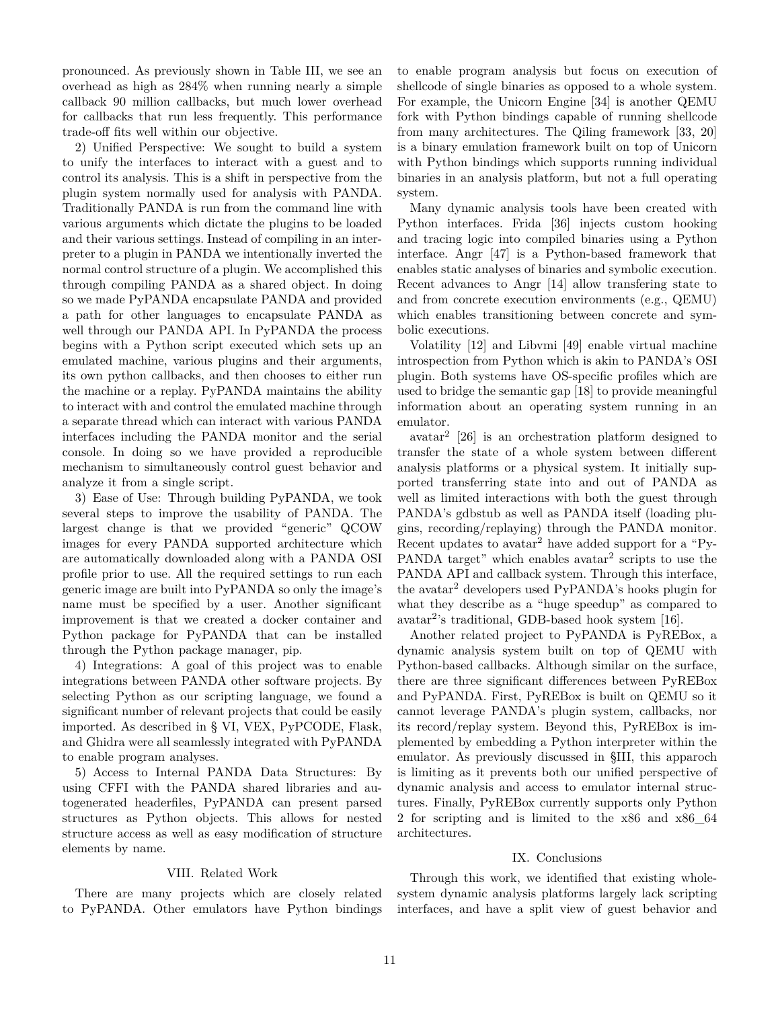pronounced. As previously shown in Table III, we see an overhead as high as 284% when running nearly a simple callback 90 million callbacks, but much lower overhead for callbacks that run less frequently. This performance trade-off fits well within our objective.

2) Unified Perspective: We sought to build a system to unify the interfaces to interact with a guest and to control its analysis. This is a shift in perspective from the plugin system normally used for analysis with PANDA. Traditionally PANDA is run from the command line with various arguments which dictate the plugins to be loaded and their various settings. Instead of compiling in an interpreter to a plugin in PANDA we intentionally inverted the normal control structure of a plugin. We accomplished this through compiling PANDA as a shared object. In doing so we made PyPANDA encapsulate PANDA and provided a path for other languages to encapsulate PANDA as well through our PANDA API. In PyPANDA the process begins with a Python script executed which sets up an emulated machine, various plugins and their arguments, its own python callbacks, and then chooses to either run the machine or a replay. PyPANDA maintains the ability to interact with and control the emulated machine through a separate thread which can interact with various PANDA interfaces including the PANDA monitor and the serial console. In doing so we have provided a reproducible mechanism to simultaneously control guest behavior and analyze it from a single script.

3) Ease of Use: Through building PyPANDA, we took several steps to improve the usability of PANDA. The largest change is that we provided "generic" QCOW images for every PANDA supported architecture which are automatically downloaded along with a PANDA OSI profile prior to use. All the required settings to run each generic image are built into PyPANDA so only the image's name must be specified by a user. Another significant improvement is that we created a docker container and Python package for PyPANDA that can be installed through the Python package manager, pip.

4) Integrations: A goal of this project was to enable integrations between PANDA other software projects. By selecting Python as our scripting language, we found a significant number of relevant projects that could be easily imported. As described in § VI, VEX, PyPCODE, Flask, and Ghidra were all seamlessly integrated with PyPANDA to enable program analyses.

5) Access to Internal PANDA Data Structures: By using CFFI with the PANDA shared libraries and autogenerated headerfiles, PyPANDA can present parsed structures as Python objects. This allows for nested structure access as well as easy modification of structure elements by name.

## VIII. Related Work

There are many projects which are closely related to PyPANDA. Other emulators have Python bindings to enable program analysis but focus on execution of shellcode of single binaries as opposed to a whole system. For example, the Unicorn Engine [34] is another QEMU fork with Python bindings capable of running shellcode from many architectures. The Qiling framework [33, 20] is a binary emulation framework built on top of Unicorn with Python bindings which supports running individual binaries in an analysis platform, but not a full operating system.

Many dynamic analysis tools have been created with Python interfaces. Frida [36] injects custom hooking and tracing logic into compiled binaries using a Python interface. Angr [47] is a Python-based framework that enables static analyses of binaries and symbolic execution. Recent advances to Angr [14] allow transfering state to and from concrete execution environments (e.g., QEMU) which enables transitioning between concrete and symbolic executions.

Volatility [12] and Libvmi [49] enable virtual machine introspection from Python which is akin to PANDA's OSI plugin. Both systems have OS-specific profiles which are used to bridge the semantic gap [18] to provide meaningful information about an operating system running in an emulator.

avatar<sup>2</sup> [26] is an orchestration platform designed to transfer the state of a whole system between different analysis platforms or a physical system. It initially supported transferring state into and out of PANDA as well as limited interactions with both the guest through PANDA's gdbstub as well as PANDA itself (loading plugins, recording/replaying) through the PANDA monitor. Recent updates to avatar<sup>2</sup> have added support for a "Py-PANDA target" which enables avatar<sup>2</sup> scripts to use the PANDA API and callback system. Through this interface, the avatar<sup>2</sup> developers used PyPANDA's hooks plugin for what they describe as a "huge speedup" as compared to  $\alpha$ vatar<sup>2</sup>'s traditional, GDB-based hook system [16].

Another related project to PyPANDA is PyREBox, a dynamic analysis system built on top of QEMU with Python-based callbacks. Although similar on the surface, there are three significant differences between PyREBox and PyPANDA. First, PyREBox is built on QEMU so it cannot leverage PANDA's plugin system, callbacks, nor its record/replay system. Beyond this, PyREBox is implemented by embedding a Python interpreter within the emulator. As previously discussed in §III, this apparoch is limiting as it prevents both our unified perspective of dynamic analysis and access to emulator internal structures. Finally, PyREBox currently supports only Python 2 for scripting and is limited to the x86 and x86\_64 architectures.

#### IX. Conclusions

Through this work, we identified that existing wholesystem dynamic analysis platforms largely lack scripting interfaces, and have a split view of guest behavior and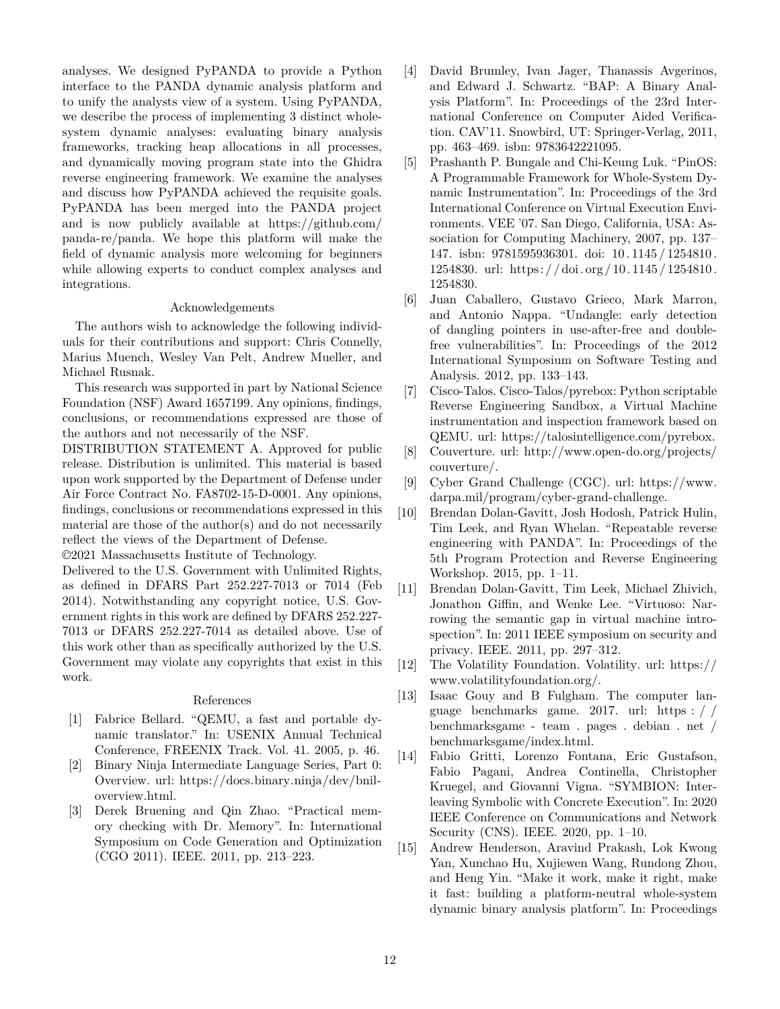analyses. We designed PyPANDA to provide a Python interface to the PANDA dynamic analysis platform and to unify the analysts view of a system. Using PyPANDA, we describe the process of implementing 3 distinct wholesystem dynamic analyses: evaluating binary analysis frameworks, tracking heap allocations in all processes, and dynamically moving program state into the Ghidra reverse engineering framework. We examine the analyses and discuss how PyPANDA achieved the requisite goals. PyPANDA has been merged into the PANDA project and is now publicly available at https://github.com/ panda-re/panda. We hope this platform will make the field of dynamic analysis more welcoming for beginners while allowing experts to conduct complex analyses and integrations.

## Acknowledgements

The authors wish to acknowledge the following individuals for their contributions and support: Chris Connelly, Marius Muench, Wesley Van Pelt, Andrew Mueller, and Michael Rusnak.

This research was supported in part by National Science Foundation (NSF) Award 1657199. Any opinions, findings, conclusions, or recommendations expressed are those of the authors and not necessarily of the NSF.

DISTRIBUTION STATEMENT A. Approved for public release. Distribution is unlimited. This material is based upon work supported by the Department of Defense under Air Force Contract No. FA8702-15-D-0001. Any opinions, findings, conclusions or recommendations expressed in this material are those of the author(s) and do not necessarily reflect the views of the Department of Defense.

©2021 Massachusetts Institute of Technology.

Delivered to the U.S. Government with Unlimited Rights, as defined in DFARS Part 252.227-7013 or 7014 (Feb 2014). Notwithstanding any copyright notice, U.S. Government rights in this work are defined by DFARS 252.227- 7013 or DFARS 252.227-7014 as detailed above. Use of this work other than as specifically authorized by the U.S. Government may violate any copyrights that exist in this work.

## References

- [1] Fabrice Bellard. "QEMU, a fast and portable dynamic translator." In: USENIX Annual Technical Conference, FREENIX Track. Vol. 41. 2005, p. 46.
- [2] Binary Ninja Intermediate Language Series, Part 0: Overview. url: https://docs.binary.ninja/dev/bniloverview.html.
- [3] Derek Bruening and Qin Zhao. "Practical memory checking with Dr. Memory". In: International Symposium on Code Generation and Optimization (CGO 2011). IEEE. 2011, pp. 213–223.
- [4] David Brumley, Ivan Jager, Thanassis Avgerinos, and Edward J. Schwartz. "BAP: A Binary Analysis Platform". In: Proceedings of the 23rd International Conference on Computer Aided Verification. CAV'11. Snowbird, UT: Springer-Verlag, 2011, pp. 463–469. isbn: 9783642221095.
- [5] Prashanth P. Bungale and Chi-Keung Luk. "PinOS: A Programmable Framework for Whole-System Dynamic Instrumentation". In: Proceedings of the 3rd International Conference on Virtual Execution Environments. VEE '07. San Diego, California, USA: Association for Computing Machinery, 2007, pp. 137– 147. isbn: 9781595936301. doi: 10 . 1145 / 1254810 . 1254830. url: https://doi.org/10.1145/1254810. 1254830.
- [6] Juan Caballero, Gustavo Grieco, Mark Marron, and Antonio Nappa. "Undangle: early detection of dangling pointers in use-after-free and doublefree vulnerabilities". In: Proceedings of the 2012 International Symposium on Software Testing and Analysis. 2012, pp. 133–143.
- [7] Cisco-Talos. Cisco-Talos/pyrebox: Python scriptable Reverse Engineering Sandbox, a Virtual Machine instrumentation and inspection framework based on QEMU. url: https://talosintelligence.com/pyrebox.
- [8] Couverture. url: http://www.open-do.org/projects/ couverture/.
- [9] Cyber Grand Challenge (CGC). url: https://www. darpa.mil/program/cyber-grand-challenge.
- [10] Brendan Dolan-Gavitt, Josh Hodosh, Patrick Hulin, Tim Leek, and Ryan Whelan. "Repeatable reverse engineering with PANDA". In: Proceedings of the 5th Program Protection and Reverse Engineering Workshop. 2015, pp. 1–11.
- [11] Brendan Dolan-Gavitt, Tim Leek, Michael Zhivich, Jonathon Giffin, and Wenke Lee. "Virtuoso: Narrowing the semantic gap in virtual machine introspection". In: 2011 IEEE symposium on security and privacy. IEEE. 2011, pp. 297–312.
- [12] The Volatility Foundation. Volatility. url: https:// www.volatilityfoundation.org/.
- [13] Isaac Gouy and B Fulgham. The computer language benchmarks game. 2017. url: https : / / benchmarksgame - team . pages . debian . net / benchmarksgame/index.html.
- [14] Fabio Gritti, Lorenzo Fontana, Eric Gustafson, Fabio Pagani, Andrea Continella, Christopher Kruegel, and Giovanni Vigna. "SYMBION: Interleaving Symbolic with Concrete Execution". In: 2020 IEEE Conference on Communications and Network Security (CNS). IEEE. 2020, pp. 1–10.
- [15] Andrew Henderson, Aravind Prakash, Lok Kwong Yan, Xunchao Hu, Xujiewen Wang, Rundong Zhou, and Heng Yin. "Make it work, make it right, make it fast: building a platform-neutral whole-system dynamic binary analysis platform". In: Proceedings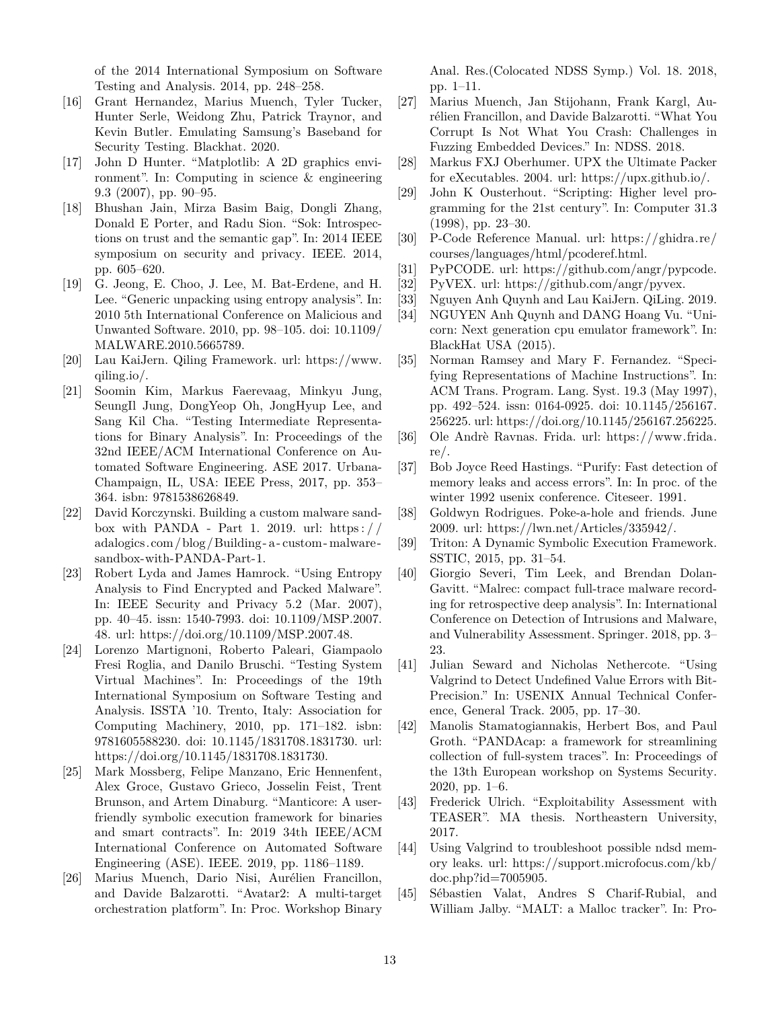of the 2014 International Symposium on Software Testing and Analysis. 2014, pp. 248–258.

- [16] Grant Hernandez, Marius Muench, Tyler Tucker, Hunter Serle, Weidong Zhu, Patrick Traynor, and Kevin Butler. Emulating Samsung's Baseband for Security Testing. Blackhat. 2020.
- [17] John D Hunter. "Matplotlib: A 2D graphics environment". In: Computing in science & engineering 9.3 (2007), pp. 90–95.
- [18] Bhushan Jain, Mirza Basim Baig, Dongli Zhang, Donald E Porter, and Radu Sion. "Sok: Introspections on trust and the semantic gap". In: 2014 IEEE symposium on security and privacy. IEEE. 2014, pp. 605–620.
- [19] G. Jeong, E. Choo, J. Lee, M. Bat-Erdene, and H. Lee. "Generic unpacking using entropy analysis". In: 2010 5th International Conference on Malicious and Unwanted Software. 2010, pp. 98–105. doi: 10.1109/ MALWARE.2010.5665789.
- [20] Lau KaiJern. Qiling Framework. url: https://www. qiling.io/.
- [21] Soomin Kim, Markus Faerevaag, Minkyu Jung, SeungIl Jung, DongYeop Oh, JongHyup Lee, and Sang Kil Cha. "Testing Intermediate Representations for Binary Analysis". In: Proceedings of the 32nd IEEE/ACM International Conference on Automated Software Engineering. ASE 2017. Urbana-Champaign, IL, USA: IEEE Press, 2017, pp. 353– 364. isbn: 9781538626849.
- [22] David Korczynski. Building a custom malware sandbox with PANDA - Part 1. 2019. url: https:// adalogics.com/blog/Building- a- custom- malwaresandbox-with-PANDA-Part-1.
- [23] Robert Lyda and James Hamrock. "Using Entropy Analysis to Find Encrypted and Packed Malware". In: IEEE Security and Privacy 5.2 (Mar. 2007), pp. 40–45. issn: 1540-7993. doi: 10.1109/MSP.2007. 48. url: https://doi.org/10.1109/MSP.2007.48.
- [24] Lorenzo Martignoni, Roberto Paleari, Giampaolo Fresi Roglia, and Danilo Bruschi. "Testing System Virtual Machines". In: Proceedings of the 19th International Symposium on Software Testing and Analysis. ISSTA '10. Trento, Italy: Association for Computing Machinery, 2010, pp. 171–182. isbn: 9781605588230. doi: 10.1145/1831708.1831730. url: https://doi.org/10.1145/1831708.1831730.
- [25] Mark Mossberg, Felipe Manzano, Eric Hennenfent, Alex Groce, Gustavo Grieco, Josselin Feist, Trent Brunson, and Artem Dinaburg. "Manticore: A userfriendly symbolic execution framework for binaries and smart contracts". In: 2019 34th IEEE/ACM International Conference on Automated Software Engineering (ASE). IEEE. 2019, pp. 1186–1189.
- [26] Marius Muench, Dario Nisi, Aurélien Francillon, and Davide Balzarotti. "Avatar2: A multi-target orchestration platform". In: Proc. Workshop Binary

Anal. Res.(Colocated NDSS Symp.) Vol. 18. 2018, pp. 1–11.

- [27] Marius Muench, Jan Stijohann, Frank Kargl, Aurélien Francillon, and Davide Balzarotti. "What You Corrupt Is Not What You Crash: Challenges in Fuzzing Embedded Devices." In: NDSS. 2018.
- [28] Markus FXJ Oberhumer. UPX the Ultimate Packer for eXecutables. 2004. url: https://upx.github.io/.
- [29] John K Ousterhout. "Scripting: Higher level programming for the 21st century". In: Computer 31.3 (1998), pp. 23–30.
- [30] P-Code Reference Manual. url: https://ghidra.re/ courses/languages/html/pcoderef.html.
- [31] PyPCODE. url: https://github.com/angr/pypcode.
- [32] PyVEX. url: https://github.com/angr/pyvex.
- [33] Nguyen Anh Quynh and Lau KaiJern. QiLing. 2019.
- [34] NGUYEN Anh Quynh and DANG Hoang Vu. "Unicorn: Next generation cpu emulator framework". In: BlackHat USA (2015).
- [35] Norman Ramsey and Mary F. Fernandez. "Specifying Representations of Machine Instructions". In: ACM Trans. Program. Lang. Syst. 19.3 (May 1997), pp. 492–524. issn: 0164-0925. doi: 10.1145/256167. 256225. url: https://doi.org/10.1145/256167.256225.
- [36] Ole Andrè Ravnas. Frida. url: https://www.frida. re/.
- [37] Bob Joyce Reed Hastings. "Purify: Fast detection of memory leaks and access errors". In: In proc. of the winter 1992 usenix conference. Citeseer. 1991.
- [38] Goldwyn Rodrigues. Poke-a-hole and friends. June 2009. url: https://lwn.net/Articles/335942/.
- [39] Triton: A Dynamic Symbolic Execution Framework. SSTIC, 2015, pp. 31–54.
- [40] Giorgio Severi, Tim Leek, and Brendan Dolan-Gavitt. "Malrec: compact full-trace malware recording for retrospective deep analysis". In: International Conference on Detection of Intrusions and Malware, and Vulnerability Assessment. Springer. 2018, pp. 3– 23.
- [41] Julian Seward and Nicholas Nethercote. "Using Valgrind to Detect Undefined Value Errors with Bit-Precision." In: USENIX Annual Technical Conference, General Track. 2005, pp. 17–30.
- [42] Manolis Stamatogiannakis, Herbert Bos, and Paul Groth. "PANDAcap: a framework for streamlining collection of full-system traces". In: Proceedings of the 13th European workshop on Systems Security. 2020, pp. 1–6.
- [43] Frederick Ulrich. "Exploitability Assessment with TEASER". MA thesis. Northeastern University, 2017.
- [44] Using Valgrind to troubleshoot possible ndsd memory leaks. url: https://support.microfocus.com/kb/ doc.php?id=7005905.
- [45] Sébastien Valat, Andres S Charif-Rubial, and William Jalby. "MALT: a Malloc tracker". In: Pro-